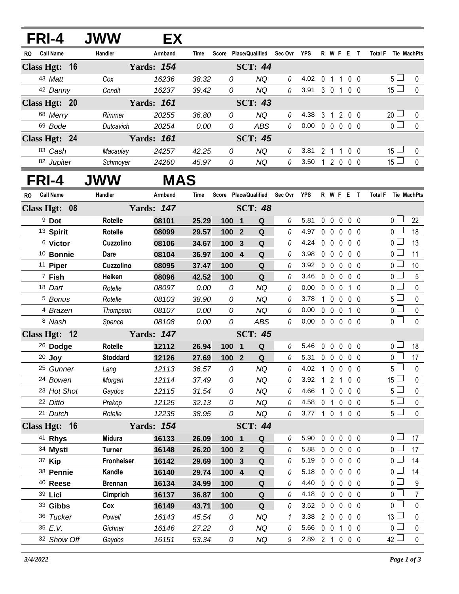|           | FRI-4                 | <b>JWW</b>        | EХ                |                |                               |                |                        |             |                |              |                   |             |                          |                               |             |
|-----------|-----------------------|-------------------|-------------------|----------------|-------------------------------|----------------|------------------------|-------------|----------------|--------------|-------------------|-------------|--------------------------|-------------------------------|-------------|
| RO.       | <b>Call Name</b>      | Handler           | Armband           | Time           | Score Place/Qualified Sec Ovr |                |                        |             | <b>YPS</b>     |              |                   |             | R W F E T                | Total F Tie MachPts           |             |
|           | Class Hgt: 16         |                   | <b>Yards: 154</b> |                |                               |                | <b>SCT: 44</b>         |             |                |              |                   |             |                          |                               |             |
|           | 43 Matt               | Cox               | 16236             | 38.32          | 0                             |                | NQ                     | 0           | 4.02 0 1 1 0 0 |              |                   |             |                          | 5 <sub>1</sub>                | 0           |
|           | 42 Danny              | Condit            | 16237             | 39.42          | 0                             |                | <b>NQ</b>              | 0           | 3.91           |              | 301               |             | 0 <sub>0</sub>           | $15 \Box$                     | $\pmb{0}$   |
|           | Class Hgt: 20         |                   | <b>Yards: 161</b> |                |                               |                | <b>SCT: 43</b>         |             |                |              |                   |             |                          |                               |             |
|           | 68 Merry              | Rimmer            | 20255             | 36.80          | 0                             |                | <b>NQ</b>              | 0           | 4.38           |              |                   |             | 3 1 2 0 0                | $20$ $-$                      | 0           |
|           | 69 Bode               | Dutcavich         | 20254             | 0.00           | 0                             |                | <b>ABS</b>             | 0           | 0.00           |              |                   |             | 0 0 0 0 0                | 0 <sub>0</sub>                | $\pmb{0}$   |
|           | Class Hgt: 24         |                   | <b>Yards: 161</b> |                |                               |                | <b>SCT: 45</b>         |             |                |              |                   |             |                          |                               |             |
|           | 83 Cash               | Macaulay          | 24257             | 42.25          | 0                             |                | <b>NQ</b>              | 0           | 3.81           |              |                   |             | 2 1 1 0 0                | $15 -$                        | 0           |
|           | 82 Jupiter            | Schmoyer          | 24260             | 45.97          | 0                             |                | <b>NQ</b>              | 0           | 3.50 1 2 0 0 0 |              |                   |             |                          | $15 \Box$                     | $\pmb{0}$   |
|           | FRI-4                 | <b>JWW</b>        | <b>MAS</b>        |                |                               |                |                        |             |                |              |                   |             |                          |                               |             |
| <b>RO</b> | <b>Call Name</b>      | Handler           | Armband           | Time           | Score Place/Qualified         |                |                        | Sec Ovr YPS |                |              |                   |             | R W F E T                | Total F Tie MachPts           |             |
|           | Class Hgt: 08         |                   | <b>Yards: 147</b> |                |                               |                | <b>SCT: 48</b>         |             |                |              |                   |             |                          |                               |             |
|           | <sup>9</sup> Dot      | <b>Rotelle</b>    | 08101             | 25.29          | 100 1                         |                | Q                      | 0           | 5.81           | 0            | $\mathbf 0$       | $\mathbf 0$ | 0 <sub>0</sub>           | 0 <sub>1</sub>                | 22          |
|           | <sup>13</sup> Spirit  | <b>Rotelle</b>    | 08099             | 29.57          | 100                           | $\overline{2}$ | Q                      | 0           | 4.97           |              | $0\quad 0$        | $\mathbf 0$ | $0\quad 0$               | 0 <sup>1</sup>                | 18          |
|           | <sup>6</sup> Victor   | Cuzzolino         | 08106             | 34.67          | 100                           | $\mathbf{3}$   | ${\bf Q}$              | 0           | 4.24           | $\mathbf 0$  |                   |             | $0\quad 0\quad 0\quad 0$ | 0 <sub>1</sub>                | 13          |
|           | <sup>10</sup> Bonnie  | <b>Dare</b>       | 08104             | 36.97          | 100 4                         |                | Q                      | 0           | 3.98           |              | $0\quad 0$        | 0           | $0\quad 0$               | $0 -$                         | 11          |
|           | <sup>11</sup> Piper   | Cuzzolino         | 08095             | 37.47          | 100                           |                | ${\bf Q}$              | 0           | 3.92           |              |                   |             | 00000                    | 0 <sub>l</sub>                | 10          |
|           | $7$ Fish              | Heiken            | 08096             | 42.52          | 100                           |                | Q                      | 0           | 3.46           |              |                   |             | 00000                    | $0-$                          | 5           |
|           | 18 Dart               | Rotelle           | 08097             | 0.00           | 0                             |                | <b>NQ</b>              | 0           | 0.00           | $\mathbf 0$  | $0\quad 0$        |             | 1 0                      | $\overline{0}$                | $\pmb{0}$   |
|           | <sup>5</sup> Bonus    | Rotelle           | 08103             | 38.90          | 0                             |                | <b>NQ</b>              | 0           | 3.78           | 1.           | $\mathbf 0$       |             | $0\quad 0\quad 0$        | $5\perp$                      | $\pmb{0}$   |
|           | 4 Brazen              | Thompson          | 08107             | 0.00           | 0                             |                | <b>NQ</b>              | 0           | 0.00           |              | $0\quad 0\quad 0$ |             | 1 0                      | 0 <sup>1</sup>                | $\pmb{0}$   |
|           | 8 Nash                | Spence            | 08108             | 0.00           | 0                             |                | <b>ABS</b>             | 0           | 0.00           |              |                   |             | 00000                    | $\overline{0}$                | $\pmb{0}$   |
|           | Class Hgt: 12         |                   | <b>Yards: 147</b> |                |                               |                | <b>SCT: 45</b>         |             |                |              |                   |             |                          |                               |             |
|           | 26 Dodge              | <b>Rotelle</b>    | 12112             | 26.94          | 1001                          |                | Q                      | 0           | 5.46           | $\mathbf{0}$ | 0 <sub>0</sub>    |             | 0 <sub>0</sub>           | $\overline{0}$ $\overline{1}$ | 18          |
|           | $20$ Joy              | <b>Stoddard</b>   | 12126             | 27.69          | 100 2                         |                | Q                      | 0           | 5.31           |              |                   |             | 00000                    | $0-$                          | 17          |
|           | 25 Gunner<br>24 Bowen | Lang              | 12113             | 36.57          | 0                             |                | NQ                     | 0           | 4.02           |              |                   |             | 1 0 0 0 0                | 5 L<br>15 <sup>L</sup>        | 0           |
|           | 23 Hot Shot           | Morgan<br>Gaydos  | 12114<br>12115    | 37.49<br>31.54 | 0<br>0                        |                | <b>NQ</b><br><b>NQ</b> | 0<br>0      | 3.92<br>4.66   | $\mathbf{1}$ | $2^{\circ}$       | 1           | $0\quad 0$<br>1 0 0 0 0  | 5 <sub>1</sub>                | 0<br>0      |
|           | 22 Ditto              | Prekop            | 12125             | 32.13          | 0                             |                | <b>NQ</b>              | 0           | 4.58           |              |                   |             | 0 1 0 0 0                | 5 <sup>1</sup>                | 0           |
|           | 21 Dutch              | Rotelle           | 12235             | 38.95          | 0                             |                | <b>NQ</b>              | 0           | 3.77 1 0 1 0 0 |              |                   |             |                          | 5 <sub>1</sub>                | $\mathbf 0$ |
|           | Class Hgt: 16         |                   | <b>Yards: 154</b> |                |                               |                | <b>SCT: 44</b>         |             |                |              |                   |             |                          |                               |             |
|           | 41 Rhys               | Midura            | 16133             | 26.09          | 100 1                         |                | Q                      | 0           | 5.90           |              |                   |             | 00000                    | 0 <sub>0</sub>                | 17          |
|           | 34 Mysti              | <b>Turner</b>     | 16148             | 26.20          | 100 <sub>2</sub>              |                | Q                      | 0           | 5.88           |              |                   |             | 00000                    | 0 <sup>1</sup>                | 17          |
|           | 37 Kip                | <b>Fronheiser</b> | 16142             | 29.69          | 100 3                         |                | Q                      | 0           | 5.19           |              |                   |             | 0 0 0 0 0                | 0 <sub>0</sub>                | 14          |
|           | 38 Pennie             | Kandle            | 16140             | 29.74          | 100 4                         |                | Q                      | 0           | 5.18           |              |                   |             | 00000                    | 0 <sup>1</sup>                | 14          |
|           | <sup>40</sup> Reese   | <b>Brennan</b>    | 16134             | 34.99          | 100                           |                | Q                      | 0           | 4.40           |              |                   |             | 0 0 0 0 0                | 0 <sub>0</sub>                | 9           |
|           | 39 Lici               | Cimprich          | 16137             | 36.87          | 100                           |                | Q                      | 0           | 4.18           |              |                   |             | 00000                    | 0 <sub>0</sub>                | 7           |
|           | 33 Gibbs              | Cox               | 16149             | 43.71          | 100                           |                | Q                      | 0           | 3.52           |              |                   |             | 0 0 0 0 0                | 0 <sub>0</sub>                | 0           |
|           | 36 Tucker             | Powell            | 16143             | 45.54          | 0                             |                | <b>NQ</b>              | 1           | 3.38           |              |                   |             | 2 0 0 0 0                | $13\sqcup$                    | 0           |
|           | 35 E.V.               | Gichner           | 16146             | 27.22          | 0                             |                | <b>NQ</b>              | 0           | 5.66           |              |                   |             | 0 0 1 0 0                | 0 <sub>0</sub>                | 0           |
|           | 32 Show Off           | Gaydos            | 16151             | 53.34          | 0                             |                | <b>NQ</b>              | 9           | 2.89 2 1 0 0 0 |              |                   |             |                          | $42 \Box$                     | $\pmb{0}$   |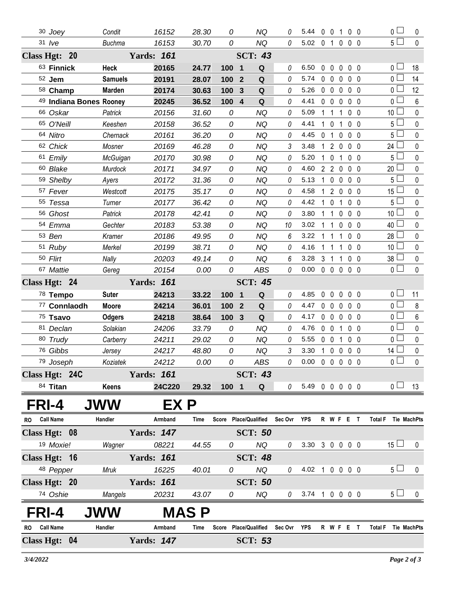|                                    | Class Hgt: 04                       |                      | <b>Yards: 147</b> |                |                               | <b>SCT: 53</b>          |                        |                                   |                        |              |                            |                                 |                          |                                  |                      |
|------------------------------------|-------------------------------------|----------------------|-------------------|----------------|-------------------------------|-------------------------|------------------------|-----------------------------------|------------------------|--------------|----------------------------|---------------------------------|--------------------------|----------------------------------|----------------------|
| RO Call Name                       |                                     | Handler              | Armband           | Time           |                               |                         |                        | Score Place/Qualified Sec Ovr YPS |                        |              |                            | R W F E T                       |                          | Total F Tie MachPts              |                      |
| FRI-4                              |                                     | JWW                  | <b>MASP</b>       |                |                               |                         |                        |                                   |                        |              |                            |                                 |                          |                                  |                      |
|                                    | 74 Oshie                            | Mangels              | 20231             | 43.07          | 0                             |                         | NQ                     | $\theta$                          | 3.74 1 0 0 0 0         |              |                            |                                 |                          | 5 <sub>1</sub>                   | 0                    |
|                                    | Class Hgt: 20                       |                      | <b>Yards: 161</b> |                |                               | <b>SCT: 50</b>          |                        |                                   |                        |              |                            |                                 |                          |                                  |                      |
|                                    | 48 Pepper                           | Mruk                 | 16225             | 40.01          | 0                             |                         | NQ                     |                                   | $0$ 4.02 1 0 0 0 0     |              |                            |                                 |                          | 5 <sub>1</sub>                   | 0                    |
|                                    | Class Hgt: 16                       |                      | <b>Yards: 161</b> |                |                               | <b>SCT: 48</b>          |                        |                                   |                        |              |                            |                                 |                          |                                  |                      |
|                                    | <sup>19</sup> Moxie!                | Wagner               | 08221             | 44.55          |                               | $\overline{0}$          | NQ                     | 0                                 | 3.30 3 0 0 0 0         |              |                            |                                 |                          | $15 \Box$                        | $\bf{0}$             |
|                                    | Class Hgt: 08                       |                      | <b>Yards: 147</b> |                |                               | <b>SCT: 50</b>          |                        |                                   |                        |              |                            |                                 |                          |                                  |                      |
| RO Call Name                       |                                     | Handler              | Armband           | Time           | Score Place/Qualified Sec Ovr |                         |                        |                                   | <b>YPS</b>             |              |                            | R W F E T                       |                          | Total F Tie MachPts              |                      |
| FRI-4                              |                                     | <b>JWW</b>           | EX P              |                |                               |                         |                        |                                   |                        |              |                            |                                 |                          |                                  |                      |
|                                    |                                     |                      |                   |                |                               |                         |                        |                                   |                        |              |                            |                                 |                          |                                  |                      |
|                                    | 84 Titan                            | Keens                | 24C220            | 29.32          | 1001                          |                         | Q                      |                                   | $0$ 5.49 0 0 0 0 0     |              |                            |                                 |                          | 0 <sub>1</sub>                   | 13                   |
|                                    | Class Hgt: 24C                      |                      | <b>Yards: 161</b> |                |                               | <b>SCT: 43</b>          |                        |                                   |                        |              |                            |                                 |                          |                                  |                      |
|                                    | 79 Joseph                           | Koziatek             | 24212             | 0.00           | $\overline{O}$                |                         | ABS                    | $\mathcal O$                      | 0.00 0 0 0 0 0         |              |                            |                                 |                          | $\overline{0}$                   | $\mathbf 0$          |
|                                    | 76 Gibbs                            | Jersey               | 24217             | 48.80          | 0                             |                         | <b>NQ</b>              | 3                                 | 3.30                   |              |                            | 1 0 0 0 0                       |                          | 14                               | $\pmb{0}$            |
|                                    | 81 Declan<br>80 Trudy               | Solakian<br>Carberry | 24206<br>24211    | 33.79<br>29.02 | 0<br>0                        |                         | <b>NQ</b><br><b>NQ</b> | 0<br>0                            | 4.76<br>5.55           |              | $0\quad 0$<br>$0\quad 0$   | 1<br>1                          | $0\quad 0$<br>$0\quad 0$ | 0 <sub>1</sub>                   | $\pmb{0}$            |
|                                    | 75 Tsavo                            | <b>Odgers</b>        | 24218             | 38.64          | 100 <sub>3</sub>              |                         | Q                      | 0                                 | 4.17                   |              | $0\quad 0$                 | $\mathbf{0}$                    | $0\quad 0$               | 0 <sub>1</sub><br>0 <sub>0</sub> | 6<br>$\pmb{0}$       |
|                                    | 77 Connlaodh                        | Moore                | 24214             | 36.01          | 100                           | $\overline{\mathbf{2}}$ | Q                      | 0                                 | 4.47                   |              | 0 <sub>0</sub>             | $\mathbf{0}$                    | $0\quad 0$               | 0 <sub>0</sub>                   | 8                    |
|                                    | 78 Tempo                            | <b>Suter</b>         | 24213             | 33.22          | 100                           | $\overline{\mathbf{1}}$ | Q                      | 0                                 | 4.85                   | $\mathbf 0$  | $\mathbf 0$                | $\mathbf 0$                     | $0\quad 0$               | 0 <sub>1</sub>                   | 11                   |
| <b>Yards: 161</b><br>Class Hgt: 24 |                                     |                      |                   |                |                               |                         |                        |                                   |                        |              |                            |                                 |                          |                                  |                      |
|                                    | 67 Mattie                           | Gereg                | 20154             | 0.00           | 0                             | <b>SCT: 45</b>          | ABS                    | 0                                 | 0.00                   |              |                            | $0\quad 0\quad 0\quad 0\quad 0$ |                          | 0 <sub>0</sub>                   | $\mathbf 0$          |
|                                    | 50 Flirt                            | Nally                | 20203             | 49.14          | 0                             |                         | <b>NQ</b>              | 6                                 | 3.28                   |              | $3 \quad 1$                | $\mathbf{1}$                    | $0\quad 0$               | 38 <sup>1</sup>                  | $\mathbf 0$          |
|                                    | 51 Ruby                             | Merkel               | 20199             | 38.71          | 0                             |                         | NQ                     | 0                                 | 4.16                   | $\mathbf{1}$ | $\mathbf{1}$               | $\mathbf 1$                     | $0\quad 0$               | 10 <sup>L</sup>                  | 0                    |
|                                    | 53 Ben                              | Kramer               | 20186             | 49.95          | 0                             |                         | <b>NQ</b>              | 6                                 | 3.22                   | -1           | 1                          | 1                               | 0 <sub>0</sub>           | 28 L                             | $\mathbf 0$          |
|                                    | 54 Emma                             | Gechter              | 20183             | 53.38          | 0                             |                         | NQ                     | 10                                | 3.02                   | 1            | $\mathbf{1}$               | 0                               | $0\quad 0$               | 40 l                             | 0                    |
|                                    | 56 Ghost                            | Patrick              | 20178             | 42.41          | 0                             |                         | <b>NQ</b>              | 0                                 | 3.80                   | $\mathbf 1$  | 1                          | 0                               | $0\quad 0$               | 10 <sup>2</sup>                  | $\mathbf 0$          |
|                                    | 55 Tessa                            | Turner               | 20177             | 36.42          | 0                             |                         | <b>NQ</b>              | 0                                 | 4.42                   | 1            | $\overline{0}$             | $\mathbf{1}$                    | $0\quad 0$               | 5                                | 0                    |
|                                    | 57 Fever                            | Westcott             | 20175             | 35.17          | 0                             |                         | <b>NQ</b>              | 0                                 | 4.58                   | -1           | $\mathbf{2}$               | $\mathbf 0$                     | $0\quad 0$               | $15\perp$                        | 0                    |
|                                    | 59 Shelby                           | Ayers                | 20172             | 31.36          | 0                             |                         | <b>NQ</b>              | 0                                 | 5.13                   | $\mathbf{1}$ | $\mathbf 0$                | 0                               | $0\quad 0$               | 5 l                              | 0                    |
|                                    | 60 Blake                            | Murdock              | 20171             | 34.97          | 0                             |                         | <b>NQ</b>              | 0                                 | 4.60                   |              | 2 <sub>2</sub>             | 0                               | $0\quad 0$               | 20 <sub>2</sub>                  | 0                    |
|                                    | 61 Emily                            | McGuigan             | 20170             | 30.98          | 0                             |                         | <b>NQ</b>              | 0                                 | 5.20                   | 1            | $\mathbf 0$                | $\mathbf{1}$                    | $0\quad 0$               | $5^{\perp}$                      | $\mathbf 0$          |
|                                    | 62 Chick                            | Mosner               | 20169             | 46.28          | 0                             |                         | <b>NQ</b>              | 3                                 | 3.48                   | -1           | $\mathbf{2}$               | $\mathbf 0$                     | $0\quad 0$               | 24 $\Box$                        | $\mathbf 0$          |
|                                    | 64 Nitro                            | Chernack             | 20161             | 36.20          | 0                             |                         | <b>NQ</b>              | 0                                 | 4.45                   |              | 0 <sub>1</sub>             | $\mathbf 0$                     | $0\quad 0$               | 5 l                              | $\mathbf 0$          |
|                                    | 65 O'Neill                          | Keeshen              | 20158             | 36.52          | 0                             |                         | <b>NQ</b>              | 0                                 | 4.41                   | 1            | $\mathbf 0$                | 1                               | 0 <sub>0</sub>           | 5 <sup>L</sup>                   | $\mathbf 0$          |
|                                    | 49 Indiana Bones Rooney<br>66 Oskar | Patrick              | 20245<br>20156    | 36.52<br>31.60 | 100 4<br>0                    |                         | Q<br><b>NQ</b>         | 0<br>0                            | 4.41<br>5.09           | 1            | $0\quad 0$<br>$\mathbf{1}$ | $\mathbf{0}$<br>$\mathbf{1}$    | $0\quad 0$<br>$0\quad 0$ | 10 <sup>1</sup>                  | 0                    |
|                                    | 58 Champ                            | <b>Marden</b>        | 20174             | 30.63          | 100                           | $\mathbf{3}$            | Q                      | 0                                 | 5.26                   |              | $0\quad 0$                 | $\mathbf 0$                     | $0\quad 0$               | 0 L<br>0 <sup>2</sup>            | 12<br>$6\phantom{1}$ |
|                                    | <sup>52</sup> Jem                   | <b>Samuels</b>       | 20191             | 28.07          | 100                           | $\overline{2}$          | $\mathbf Q$            | 0                                 | 5.74                   | $\mathbf 0$  | $\mathbf 0$                | 0                               | $0\quad 0$               | 0 <sub>0</sub>                   | 14                   |
|                                    | 63 Finnick                          | <b>Heck</b>          | 20165             | 24.77          | 100                           | $\overline{\mathbf{1}}$ | Q                      | 0                                 | 6.50                   |              |                            | $0\quad 0\quad 0\quad 0\quad 0$ |                          | 0 <sub>0</sub>                   | 18                   |
|                                    | Class Hgt: 20                       |                      | <b>Yards: 161</b> |                |                               | <b>SCT: 43</b>          |                        |                                   |                        |              |                            |                                 |                          |                                  |                      |
|                                    | $31$ $Ive$                          | <b>Buchma</b>        | 16153             | 30.70          | 0                             |                         | <b>NQ</b>              | 0                                 | $5.02 \quad 0 \quad 1$ |              |                            |                                 | $0\quad 0\quad 0$        | $5\Box$                          | $\mathbf 0$          |
|                                    | 30 Joey                             | Condit               | 16152             | 28.30          | 0                             |                         | NQ                     | 0                                 | 5.44 0 0 1 0 0         |              |                            |                                 |                          | 0 <sub>1</sub>                   | 0                    |
|                                    |                                     |                      |                   |                |                               |                         |                        |                                   |                        |              |                            |                                 |                          |                                  |                      |